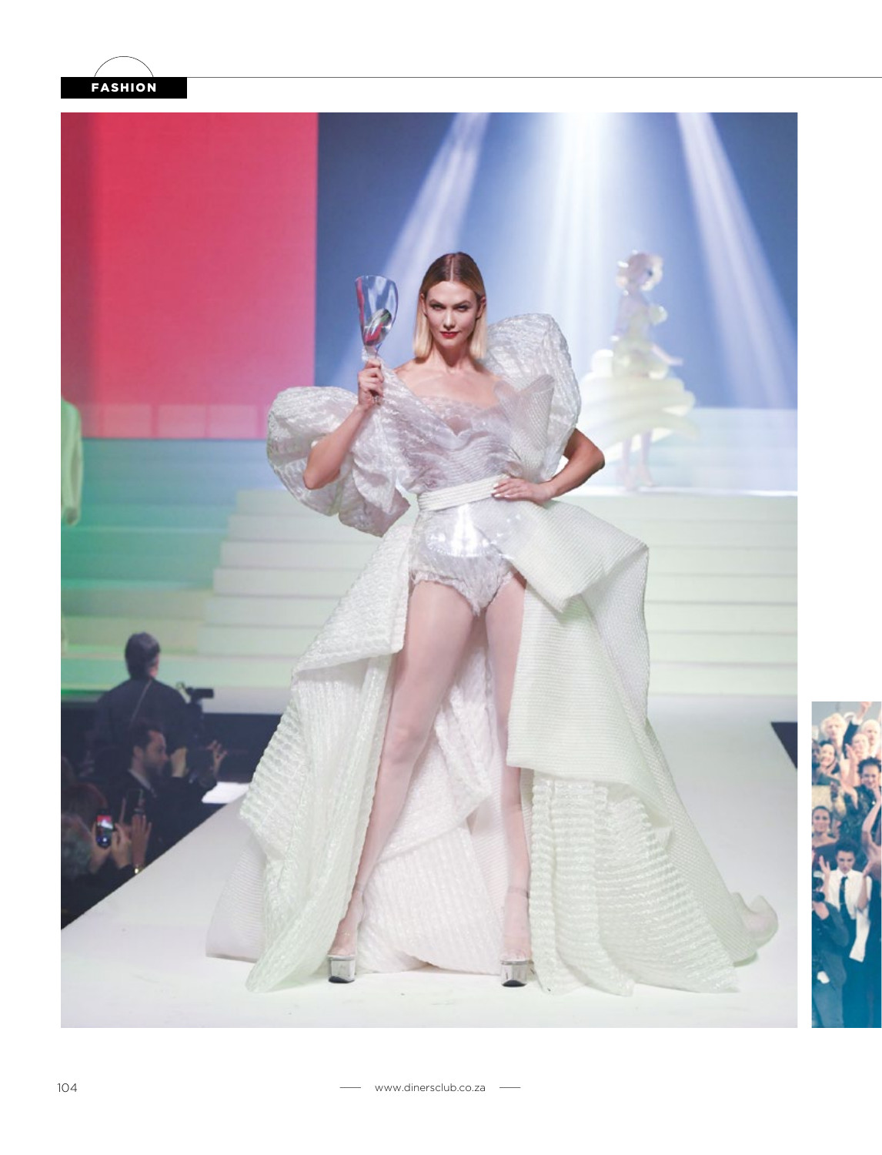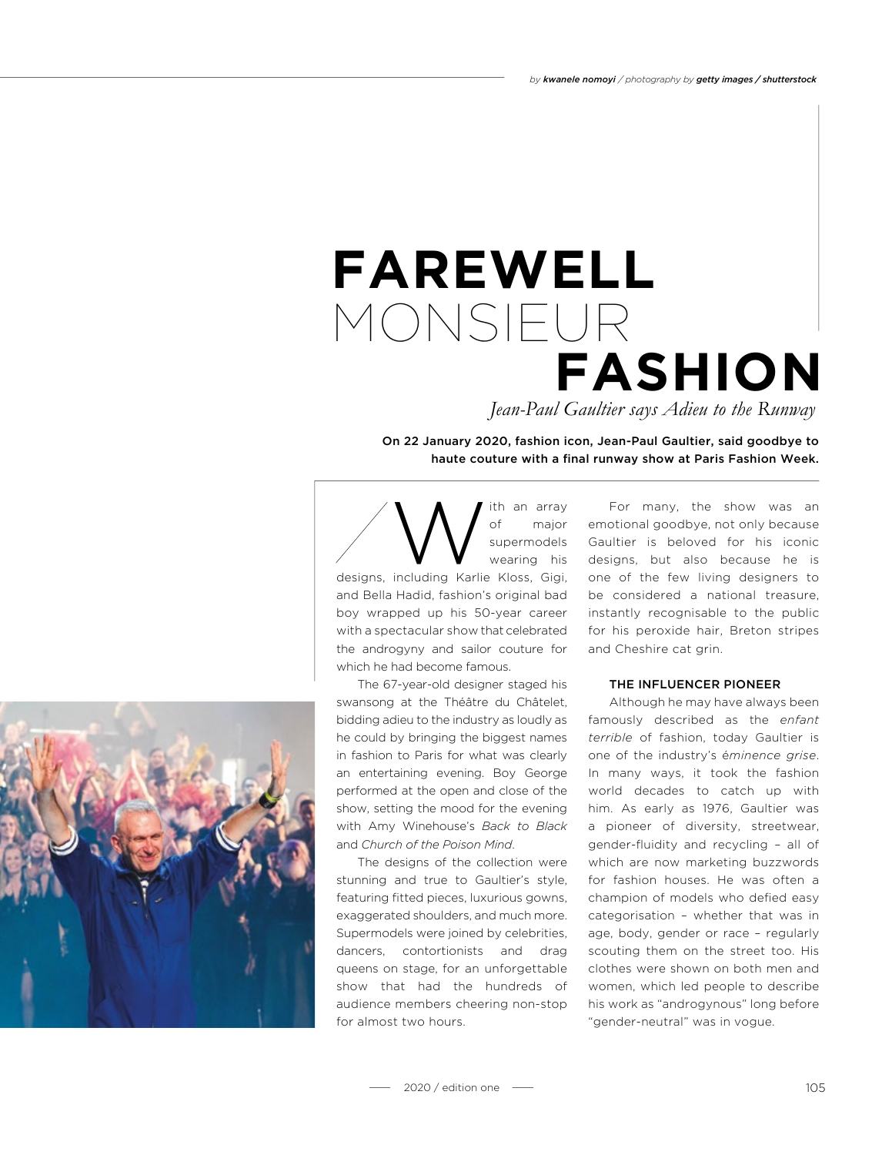## **FAREWELL**  MONSIEUR **FASHION**

*Jean-Paul Gaultier says Adieu to the Runway*

On 22 January 2020, fashion icon, Jean-Paul Gaultier, said goodbye to haute couture with a final runway show at Paris Fashion Week.

an array (ith an array of major supermodels wearing his designs, including Karlie Kloss, Gigi, major supermodels wearing his and Bella Hadid, fashion's original bad boy wrapped up his 50-year career with a spectacular show that celebrated the androgyny and sailor couture for which he had become famous.

The 67-year-old designer staged his swansong at the Théâtre du Châtelet, bidding adieu to the industry as loudly as he could by bringing the biggest names in fashion to Paris for what was clearly an entertaining evening. Boy George performed at the open and close of the show, setting the mood for the evening with Amy Winehouse's *Back to Black* and *Church of the Poison Mind*.

The designs of the collection were stunning and true to Gaultier's style, featuring fitted pieces, luxurious gowns, exaggerated shoulders, and much more. Supermodels were joined by celebrities, dancers, contortionists and drag queens on stage, for an unforgettable show that had the hundreds of audience members cheering non-stop for almost two hours.

For many, the show was an emotional goodbye, not only because Gaultier is beloved for his iconic designs, but also because he is one of the few living designers to be considered a national treasure, instantly recognisable to the public for his peroxide hair, Breton stripes and Cheshire cat grin.

## THE INFLUENCER PIONEER

Although he may have always been famously described as the *enfant terrible* of fashion, today Gaultier is one of the industry's é*minence grise*. In many ways, it took the fashion world decades to catch up with him. As early as 1976, Gaultier was a pioneer of diversity, streetwear, gender-fuidity and recycling – all of which are now marketing buzzwords for fashion houses. He was often a champion of models who defied easy categorisation – whether that was in age, body, gender or race – regularly scouting them on the street too. His clothes were shown on both men and women, which led people to describe his work as "androgynous" long before "gender-neutral" was in vogue.

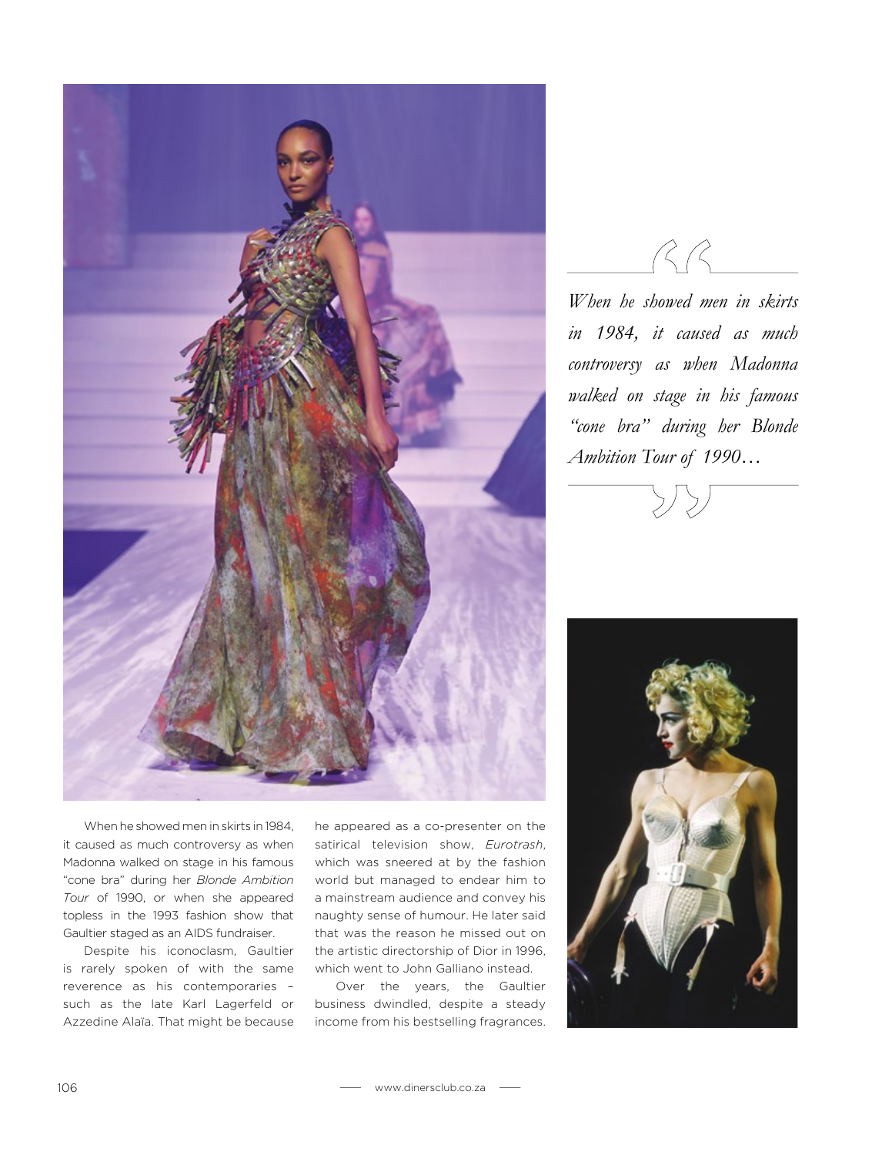

 $\beta$ 

*When he showed men in skirts in 1984, it caused as much controversy as when Madonna walked on stage in his famous "cone bra" during her Blonde Ambition Tour of 1990…*





When he showed men in skirts in 1984, it caused as much controversy as when Madonna walked on stage in his famous "cone bra" during her *Blonde Ambition Tour* of 1990, or when she appeared topless in the 1993 fashion show that Gaultier staged as an AIDS fundraiser.

Despite his iconoclasm, Gaultier is rarely spoken of with the same reverence as his contemporaries – such as the late Karl Lagerfeld or Azzedine Alaïa. That might be because

he appeared as a co-presenter on the satirical television show, *Eurotrash*, which was sneered at by the fashion world but managed to endear him to a mainstream audience and convey his naughty sense of humour. He later said that was the reason he missed out on the artistic directorship of Dior in 1996, which went to John Galliano instead.

Over the years, the Gaultier business dwindled, despite a steady income from his bestselling fragrances.